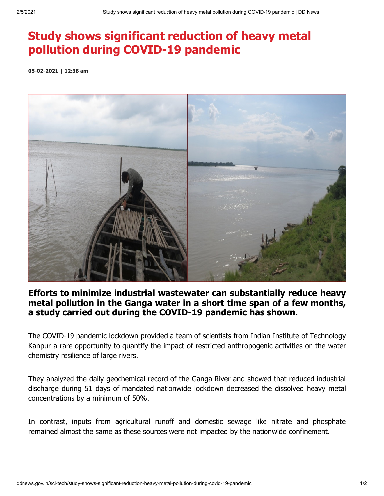## **Study shows significant reduction of heavy metal pollution during COVID-19 pandemic**

**05-02-2021 | 12:38 am**



## **Efforts to minimize industrial wastewater can substantially reduce heavy metal pollution in the Ganga water in a short time span of a few months, a study carried out during the COVID-19 pandemic has shown.**

The COVID-19 pandemic lockdown provided a team of scientists from Indian Institute of Technology Kanpur a rare opportunity to quantify the impact of restricted anthropogenic activities on the water chemistry resilience of large rivers.

They analyzed the daily geochemical record of the Ganga River and showed that reduced industrial discharge during 51 days of mandated nationwide lockdown decreased the dissolved heavy metal concentrations by a minimum of 50%.

In contrast, inputs from agricultural runoff and domestic sewage like nitrate and phosphate remained almost the same as these sources were not impacted by the nationwide confinement.